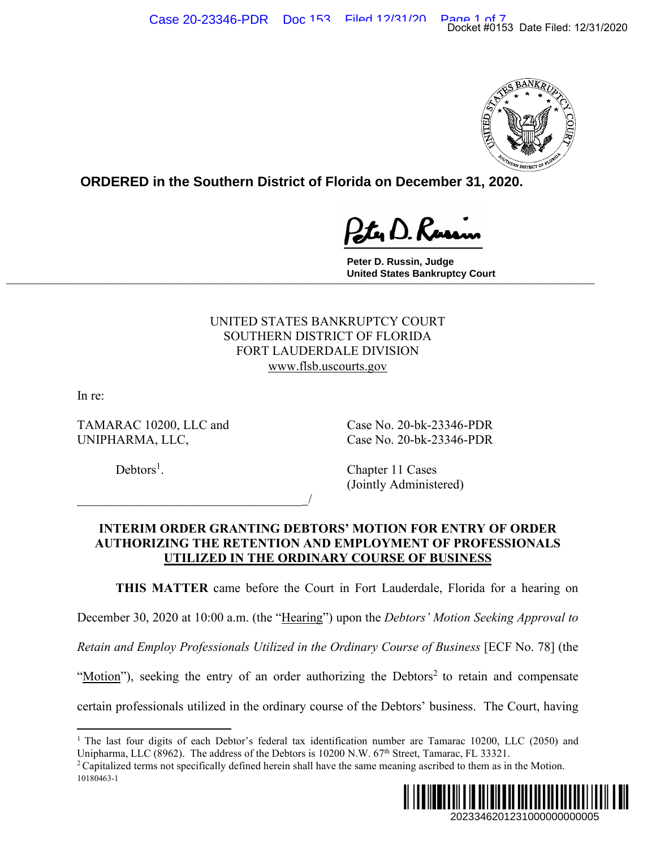

**ORDERED in the Southern District of Florida on December 31, 2020.**

**Peter D. Russin, Judge United States Bankruptcy Court \_\_\_\_\_\_\_\_\_\_\_\_\_\_\_\_\_\_\_\_\_\_\_\_\_\_\_\_\_\_\_\_\_\_\_\_\_\_\_\_\_\_\_\_\_\_\_\_\_\_\_\_\_\_\_\_\_\_\_\_\_\_\_\_\_\_\_\_\_\_\_\_\_\_\_\_\_**

> UNITED STATES BANKRUPTCY COURT SOUTHERN DISTRICT OF FLORIDA FORT LAUDERDALE DIVISION www.flsb.uscourts.gov

In re:

TAMARAC 10200, LLC and Case No. 20-bk-23346-PDR UNIPHARMA, LLC, Case No. 20-bk-23346-PDR

 $\overline{\phantom{a}}$ 

 $Debtors<sup>1</sup>$ .

. Chapter 11 Cases (Jointly Administered)

## **INTERIM ORDER GRANTING DEBTORS' MOTION FOR ENTRY OF ORDER AUTHORIZING THE RETENTION AND EMPLOYMENT OF PROFESSIONALS UTILIZED IN THE ORDINARY COURSE OF BUSINESS**

**THIS MATTER** came before the Court in Fort Lauderdale, Florida for a hearing on

December 30, 2020 at 10:00 a.m. (the "Hearing") upon the *Debtors' Motion Seeking Approval to* 

*Retain and Employ Professionals Utilized in the Ordinary Course of Business* [ECF No. 78] (the

"Motion"), seeking the entry of an order authorizing the Debtors<sup>2</sup> to retain and compensate

certain professionals utilized in the ordinary course of the Debtors' business. The Court, having

<sup>10180463-1</sup> 



<sup>&</sup>lt;sup>1</sup> The last four digits of each Debtor's federal tax identification number are Tamarac 10200, LLC (2050) and Unipharma, LLC (8962). The address of the Debtors is 10200 N.W. 67<sup>th</sup> Street, Tamarac, FL 33321.<br><sup>2</sup> Capitalized terms not specifically defined herein shall have the same meaning ascribed to them as in the Motion.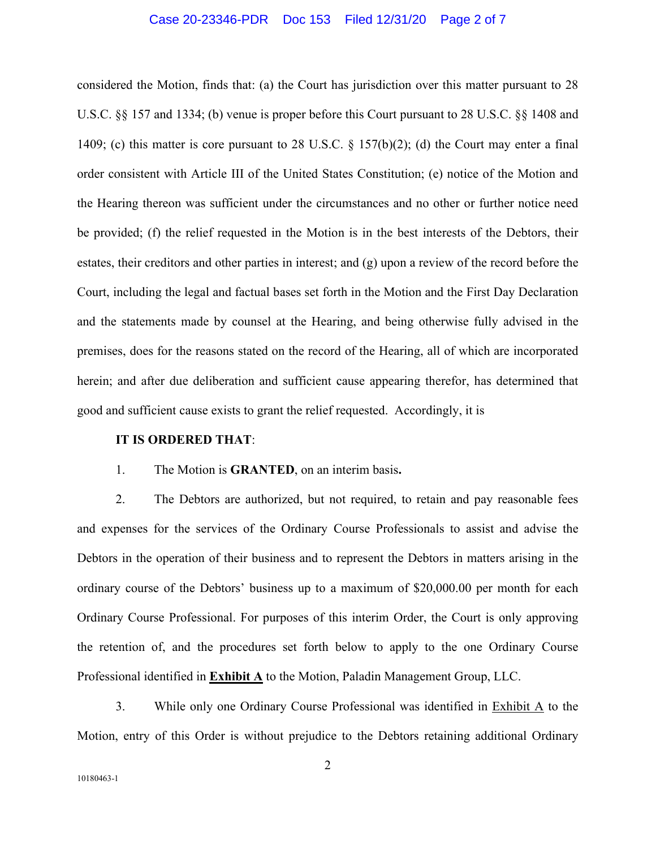#### Case 20-23346-PDR Doc 153 Filed 12/31/20 Page 2 of 7

considered the Motion, finds that: (a) the Court has jurisdiction over this matter pursuant to 28 U.S.C. §§ 157 and 1334; (b) venue is proper before this Court pursuant to 28 U.S.C. §§ 1408 and 1409; (c) this matter is core pursuant to 28 U.S.C. § 157(b)(2); (d) the Court may enter a final order consistent with Article III of the United States Constitution; (e) notice of the Motion and the Hearing thereon was sufficient under the circumstances and no other or further notice need be provided; (f) the relief requested in the Motion is in the best interests of the Debtors, their estates, their creditors and other parties in interest; and (g) upon a review of the record before the Court, including the legal and factual bases set forth in the Motion and the First Day Declaration and the statements made by counsel at the Hearing, and being otherwise fully advised in the premises, does for the reasons stated on the record of the Hearing, all of which are incorporated herein; and after due deliberation and sufficient cause appearing therefor, has determined that good and sufficient cause exists to grant the relief requested. Accordingly, it is

### **IT IS ORDERED THAT**:

## 1. The Motion is **GRANTED**, on an interim basis**.**

2. The Debtors are authorized, but not required, to retain and pay reasonable fees and expenses for the services of the Ordinary Course Professionals to assist and advise the Debtors in the operation of their business and to represent the Debtors in matters arising in the ordinary course of the Debtors' business up to a maximum of \$20,000.00 per month for each Ordinary Course Professional. For purposes of this interim Order, the Court is only approving the retention of, and the procedures set forth below to apply to the one Ordinary Course Professional identified in **Exhibit A** to the Motion, Paladin Management Group, LLC.

3. While only one Ordinary Course Professional was identified in Exhibit A to the Motion, entry of this Order is without prejudice to the Debtors retaining additional Ordinary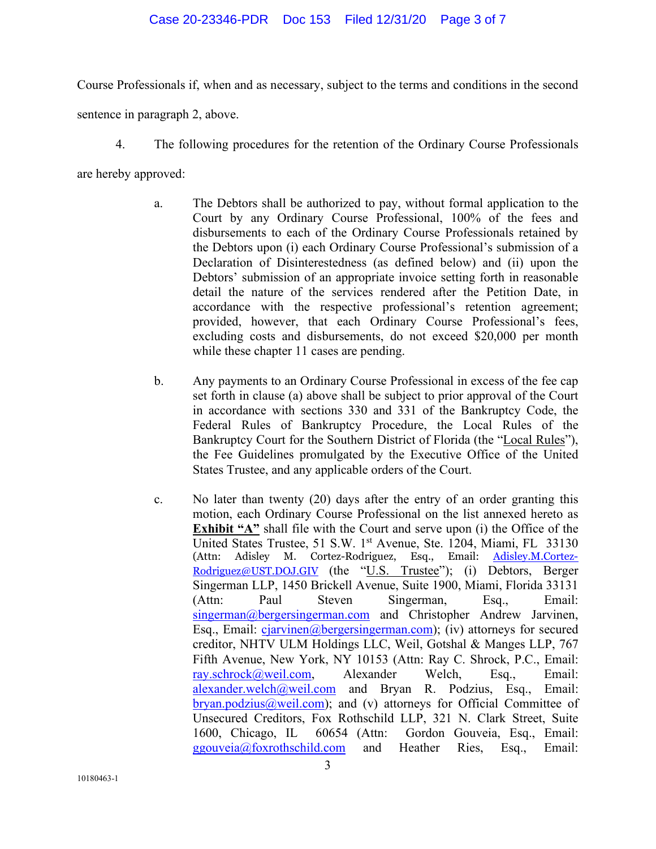## Case 20-23346-PDR Doc 153 Filed 12/31/20 Page 3 of 7

Course Professionals if, when and as necessary, subject to the terms and conditions in the second

sentence in paragraph 2, above.

4. The following procedures for the retention of the Ordinary Course Professionals

are hereby approved:

- a. The Debtors shall be authorized to pay, without formal application to the Court by any Ordinary Course Professional, 100% of the fees and disbursements to each of the Ordinary Course Professionals retained by the Debtors upon (i) each Ordinary Course Professional's submission of a Declaration of Disinterestedness (as defined below) and (ii) upon the Debtors' submission of an appropriate invoice setting forth in reasonable detail the nature of the services rendered after the Petition Date, in accordance with the respective professional's retention agreement; provided, however, that each Ordinary Course Professional's fees, excluding costs and disbursements, do not exceed \$20,000 per month while these chapter 11 cases are pending.
- b. Any payments to an Ordinary Course Professional in excess of the fee cap set forth in clause (a) above shall be subject to prior approval of the Court in accordance with sections 330 and 331 of the Bankruptcy Code, the Federal Rules of Bankruptcy Procedure, the Local Rules of the Bankruptcy Court for the Southern District of Florida (the "Local Rules"), the Fee Guidelines promulgated by the Executive Office of the United States Trustee, and any applicable orders of the Court.
- c. No later than twenty (20) days after the entry of an order granting this motion, each Ordinary Course Professional on the list annexed hereto as **Exhibit "A"** shall file with the Court and serve upon (i) the Office of the United States Trustee, 51 S.W. 1<sup>st</sup> Avenue, Ste. 1204, Miami, FL 33130 (Attn: Adisley M. Cortez-Rodriguez, Esq., Email: **Adisley.M.Cortez-**Rodriguez@UST.DOJ.GIV (the "U.S. Trustee"); (i) Debtors, Berger Singerman LLP, 1450 Brickell Avenue, Suite 1900, Miami, Florida 33131 (Attn: Paul Steven Singerman, Esq., Email: singerman@bergersingerman.com and Christopher Andrew Jarvinen, Esq., Email: cjarvinen@bergersingerman.com); (iv) attorneys for secured creditor, NHTV ULM Holdings LLC, Weil, Gotshal & Manges LLP, 767 Fifth Avenue, New York, NY 10153 (Attn: Ray C. Shrock, P.C., Email: ray.schrock@weil.com, Alexander Welch, Esq., Email: alexander.welch@weil.com and Bryan R. Podzius, Esq., Email: bryan.podzius@weil.com); and (v) attorneys for Official Committee of Unsecured Creditors, Fox Rothschild LLP, 321 N. Clark Street, Suite 1600, Chicago, IL 60654 (Attn: Gordon Gouveia, Esq., Email: ggouveia@foxrothschild.com and Heather Ries, Esq., Email: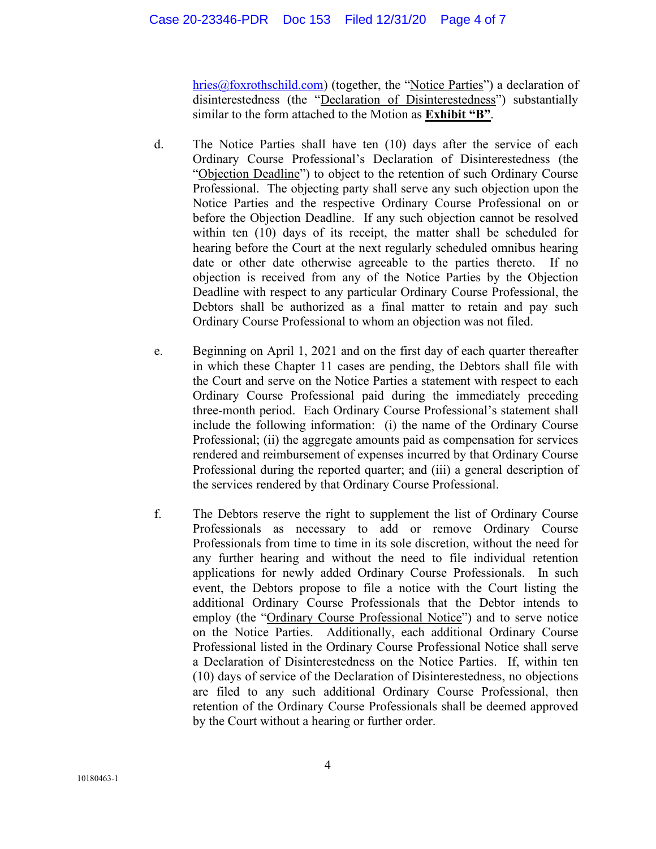## Case 20-23346-PDR Doc 153 Filed 12/31/20 Page 4 of 7

hries@foxrothschild.com) (together, the "Notice Parties") a declaration of disinterestedness (the "Declaration of Disinterestedness") substantially similar to the form attached to the Motion as **Exhibit "B"**.

- d. The Notice Parties shall have ten (10) days after the service of each Ordinary Course Professional's Declaration of Disinterestedness (the "Objection Deadline") to object to the retention of such Ordinary Course Professional. The objecting party shall serve any such objection upon the Notice Parties and the respective Ordinary Course Professional on or before the Objection Deadline. If any such objection cannot be resolved within ten (10) days of its receipt, the matter shall be scheduled for hearing before the Court at the next regularly scheduled omnibus hearing date or other date otherwise agreeable to the parties thereto. If no objection is received from any of the Notice Parties by the Objection Deadline with respect to any particular Ordinary Course Professional, the Debtors shall be authorized as a final matter to retain and pay such Ordinary Course Professional to whom an objection was not filed.
- e. Beginning on April 1, 2021 and on the first day of each quarter thereafter in which these Chapter 11 cases are pending, the Debtors shall file with the Court and serve on the Notice Parties a statement with respect to each Ordinary Course Professional paid during the immediately preceding three-month period. Each Ordinary Course Professional's statement shall include the following information: (i) the name of the Ordinary Course Professional; (ii) the aggregate amounts paid as compensation for services rendered and reimbursement of expenses incurred by that Ordinary Course Professional during the reported quarter; and (iii) a general description of the services rendered by that Ordinary Course Professional.
- f. The Debtors reserve the right to supplement the list of Ordinary Course Professionals as necessary to add or remove Ordinary Course Professionals from time to time in its sole discretion, without the need for any further hearing and without the need to file individual retention applications for newly added Ordinary Course Professionals. In such event, the Debtors propose to file a notice with the Court listing the additional Ordinary Course Professionals that the Debtor intends to employ (the "Ordinary Course Professional Notice") and to serve notice on the Notice Parties. Additionally, each additional Ordinary Course Professional listed in the Ordinary Course Professional Notice shall serve a Declaration of Disinterestedness on the Notice Parties. If, within ten (10) days of service of the Declaration of Disinterestedness, no objections are filed to any such additional Ordinary Course Professional, then retention of the Ordinary Course Professionals shall be deemed approved by the Court without a hearing or further order.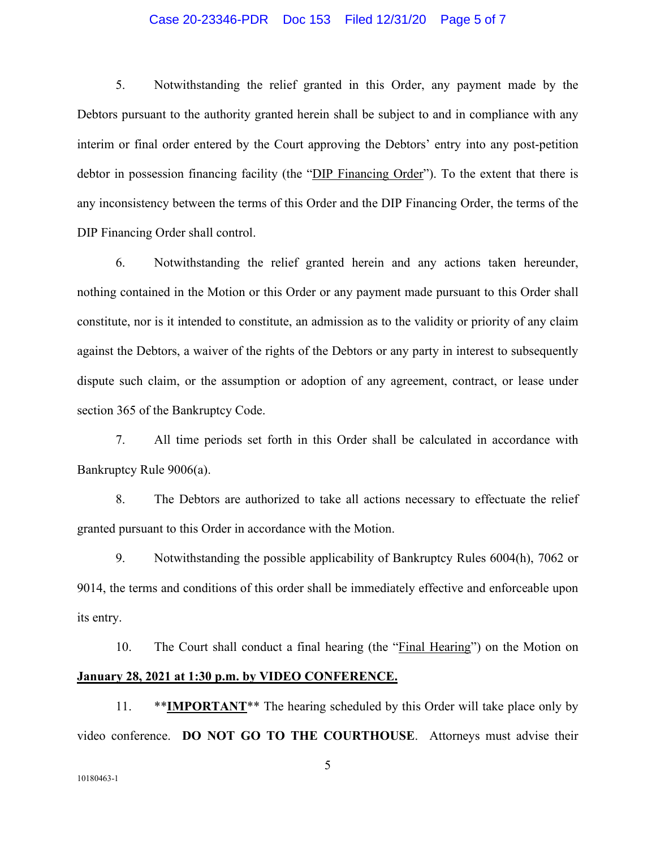### Case 20-23346-PDR Doc 153 Filed 12/31/20 Page 5 of 7

5. Notwithstanding the relief granted in this Order, any payment made by the Debtors pursuant to the authority granted herein shall be subject to and in compliance with any interim or final order entered by the Court approving the Debtors' entry into any post-petition debtor in possession financing facility (the "DIP Financing Order"). To the extent that there is any inconsistency between the terms of this Order and the DIP Financing Order, the terms of the DIP Financing Order shall control.

6. Notwithstanding the relief granted herein and any actions taken hereunder, nothing contained in the Motion or this Order or any payment made pursuant to this Order shall constitute, nor is it intended to constitute, an admission as to the validity or priority of any claim against the Debtors, a waiver of the rights of the Debtors or any party in interest to subsequently dispute such claim, or the assumption or adoption of any agreement, contract, or lease under section 365 of the Bankruptcy Code.

7. All time periods set forth in this Order shall be calculated in accordance with Bankruptcy Rule 9006(a).

8. The Debtors are authorized to take all actions necessary to effectuate the relief granted pursuant to this Order in accordance with the Motion.

9. Notwithstanding the possible applicability of Bankruptcy Rules 6004(h), 7062 or 9014, the terms and conditions of this order shall be immediately effective and enforceable upon its entry.

10. The Court shall conduct a final hearing (the "Final Hearing") on the Motion on **January 28, 2021 at 1:30 p.m. by VIDEO CONFERENCE.** 

11. \*\*IMPORTANT<sup>\*\*</sup> The hearing scheduled by this Order will take place only by video conference. **DO NOT GO TO THE COURTHOUSE**. Attorneys must advise their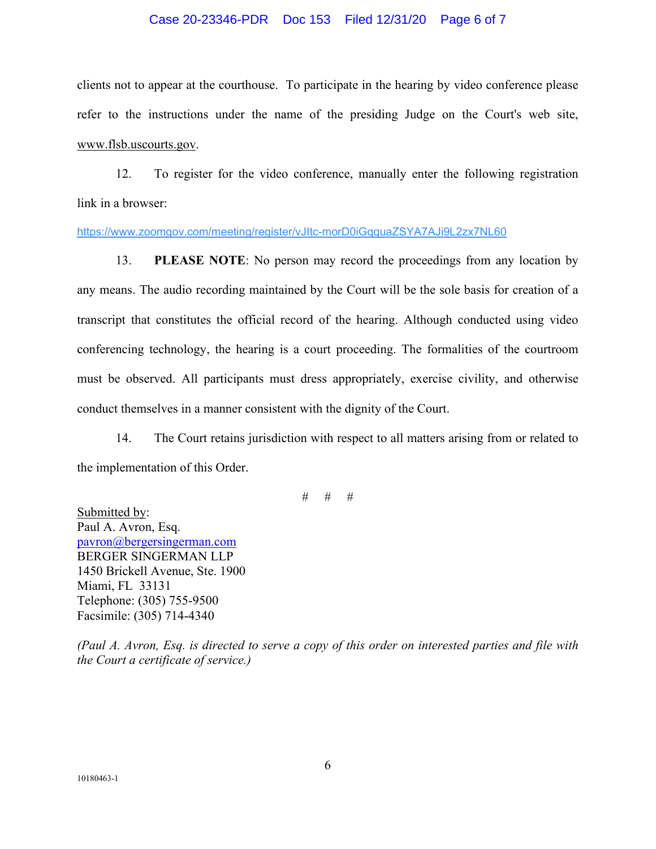### Case 20-23346-PDR Doc 153 Filed 12/31/20 Page 6 of 7

clients not to appear at the courthouse. To participate in the hearing by video conference please refer to the instructions under the name of the presiding Judge on the Court's web site, www.flsb.uscourts.gov.

12. To register for the video conference, manually enter the following registration link in a browser:

https://www.zoomgov.com/meeting/register/vJItc-morD0iGqquaZSYA7AJi9L2zx7NL60

13. **PLEASE NOTE**: No person may record the proceedings from any location by any means. The audio recording maintained by the Court will be the sole basis for creation of a transcript that constitutes the official record of the hearing. Although conducted using video conferencing technology, the hearing is a court proceeding. The formalities of the courtroom must be observed. All participants must dress appropriately, exercise civility, and otherwise conduct themselves in a manner consistent with the dignity of the Court.

14. The Court retains jurisdiction with respect to all matters arising from or related to the implementation of this Order.

# # #

Submitted by: Paul A. Avron, Esq. pavron@bergersingerman.com BERGER SINGERMAN LLP 1450 Brickell Avenue, Ste. 1900 Miami, FL 33131 Telephone: (305) 755-9500 Facsimile: (305) 714-4340

*(Paul A. Avron, Esq. is directed to serve a copy of this order on interested parties and file with the Court a certificate of service.)*